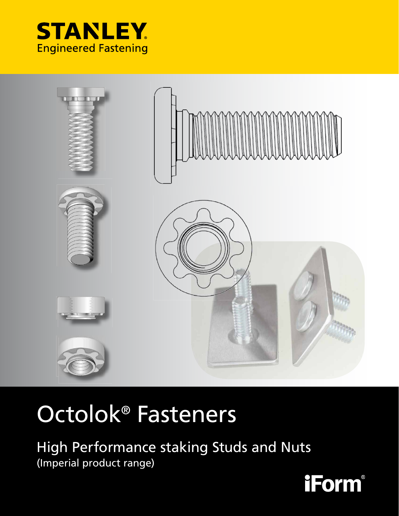



# Octolok® Fasteners

High Performance staking Studs and Nuts (Imperial product range)

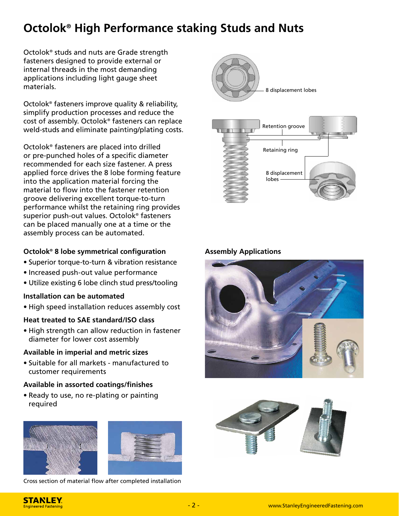## **Octolok® High Performance staking Studs and Nuts**

Octolok® studs and nuts are Grade strength fasteners designed to provide external or internal threads in the most demanding applications including light gauge sheet materials.

Octolok® fasteners improve quality & reliability, simplify production processes and reduce the cost of assembly. Octolok® fasteners can replace weld-studs and eliminate painting/plating costs.

Octolok® fasteners are placed into drilled or pre-punched holes of a specific diameter recom mended for each size fastener. A press applied force drives the 8 lobe forming feature into the application material forcing the material to flow into the fastener retention groove delivering excellent torque-to-turn performance whilst the retaining ring provides superior push-out values. Octolok® fasteners can be placed manually one at a time or the assembly process can be automated.

## **Octolok**<sup>®</sup> 8 lobe symmetrical configuration **by Assembly Applications**

- Superior torque-to-turn & vibration resistance
- Increased push-out value performance
- Utilize existing 6 lobe clinch stud press/tooling

## **Installation can be automated**

• High speed installation reduces assembly cost

## **Heat treated to SAE standard/ISO class**

• High strength can allow reduction in fastener diameter for lower cost assembly

## **Available in imperial and metric sizes**

• Suitable for all markets - manufactured to customer requirements

## **Available in assorted coatings/fi nishes**

• Ready to use, no re-plating or painting required





Cross section of material flow after completed installation





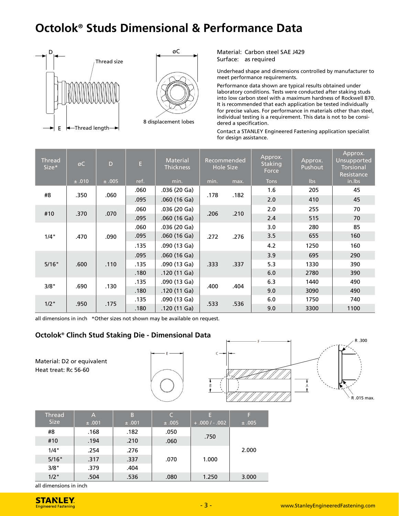## **Octolok® Studs Dimensional & Performance Data**





Material: Carbon steel SAE J429 Surface: as required

Underhead shape and dimensions controlled by manufacturer to meet performance requirements.

Performance data shown are typical results obtained under laboratory conditions. Tests were conducted after staking studs into low carbon steel with a maximum hardness of Rockwell B70. It is recommended that each application be tested individually for precise values. For performance in materials other than steel, individual testing is a requirement. This data is not to be considered a specification.

Contact a STANLEY Engineered Fastening application specialist for design assistance.

| <b>Thread</b><br>Size* | øC    | D     | E.   | Material<br>Thickness |      | Recommended<br><b>Hole Size</b> | Approx.<br>Staking<br>Force | Approx.<br>Pushout | Approx.<br>Unsupported<br><b>Torsional</b><br>Resistance |
|------------------------|-------|-------|------|-----------------------|------|---------------------------------|-----------------------------|--------------------|----------------------------------------------------------|
|                        | ±.010 | ±.005 | ref. | min.                  | min. | max.                            | <b>Tons</b>                 | lbs                | in.lbs                                                   |
| #8                     | .350  | .060  | .060 | .036 (20 Ga)          | .178 | .182                            | 1.6                         | 205                | 45                                                       |
|                        |       |       | .095 | .060(16 Ga)           |      |                                 | 2.0                         | 410                | 45                                                       |
|                        |       |       | .060 | .036 (20 Ga)          |      |                                 | 2.0                         | 255                | 70                                                       |
| #10                    | .370  | .070  | .095 | .060(16 Ga)           | .206 | .210                            | 2.4                         | 515                | 70                                                       |
|                        |       | .090  | .060 | .036 (20 Ga)          | .272 |                                 | 3.0                         | 280                | 85                                                       |
| 1/4"<br>.470           |       |       | .095 | .060(16 Ga)           |      | .276                            | 3.5                         | 655                | 160                                                      |
|                        |       |       | .135 | .090 (13 Ga)          |      |                                 | 4.2                         | 1250               | 160                                                      |
|                        |       | .110  | .095 | .060(16 Ga)           | .333 |                                 | 3.9                         | 695                | 290                                                      |
| 5/16"                  | .600  |       | .135 | .090 (13 Ga)          |      | .337                            | 5.3                         | 1330               | 390                                                      |
|                        |       |       | .180 | .120(11 Ga)           |      |                                 | 6.0                         | 2780               | 390                                                      |
| 3/8"                   |       | .130  | .135 | .090 (13 Ga)          | .400 |                                 | 6.3                         | 1440               | 490                                                      |
|                        | .690  |       | .180 | .120 (11 Ga)          |      | .404                            | 9.0                         | 3090               | 490                                                      |
|                        |       | .175  | .135 | .090 (13 Ga)          | .533 |                                 | 6.0                         | 1750               | 740                                                      |
| $1/2$ "                | .950  |       | .180 | .120 (11 Ga)          |      |                                 | .536                        | 9.0                | 3300                                                     |

all dimensions in inch \*Other sizes not shown may be available on request.

### **Octolok® Clinch Stud Staking Die - Dimensional Data**

Material: D2 or equivalent Heat treat: Rc 56-60



| <b>Thread</b><br><b>Size</b> | A<br>±.001 | B<br>±.001 | C<br>±.005 | Е<br>$+.000/-.002$ | F<br>±.005 |
|------------------------------|------------|------------|------------|--------------------|------------|
| #8                           | .168       | .182       | .050       |                    |            |
| #10                          | .194       | .210       | .060       | .750               | 2.000      |
| 1/4"                         | .254       | .276       |            |                    |            |
| 5/16"                        | .317       | .337       | .070       | 1.000              |            |
| 3/8"                         | .379       | .404       |            |                    |            |
| $1/2$ "                      | .504       | .536       | .080       | 1.250              | 3.000      |

all dimensions in inch